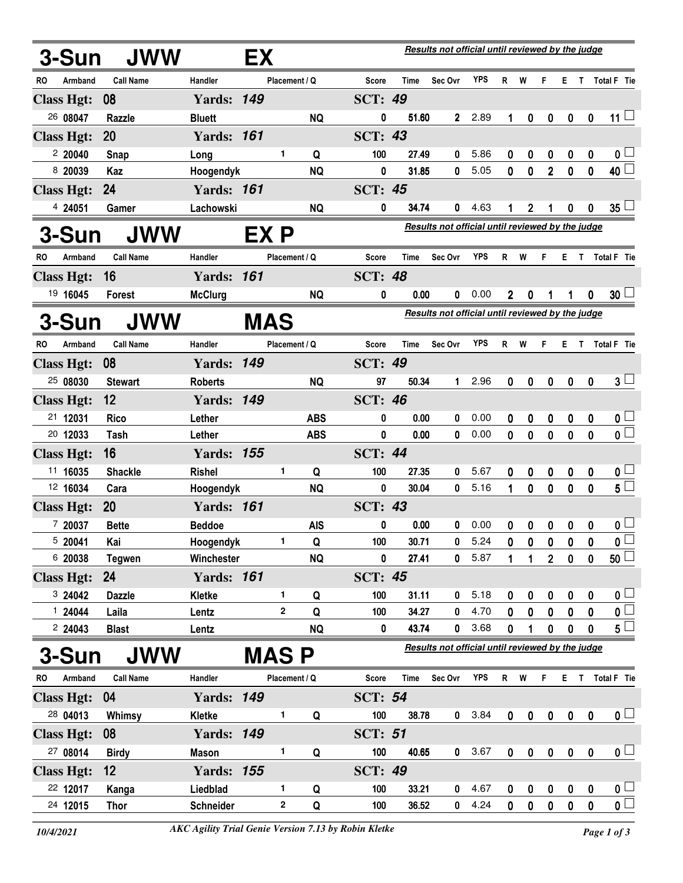|                     | 3-Sun             | JWW              | Results not official until reviewed by the judge<br>EX |              |               |            |                |       |                                                         |      |                  |                  |                  |              |                  |                             |
|---------------------|-------------------|------------------|--------------------------------------------------------|--------------|---------------|------------|----------------|-------|---------------------------------------------------------|------|------------------|------------------|------------------|--------------|------------------|-----------------------------|
| RO                  | Armband           | <b>Call Name</b> | Handler                                                |              | Placement / Q |            | Score          | Time  | Sec Ovr                                                 | YPS  | R                | W                | F                |              |                  | E T Total F Tie             |
|                     | <b>Class Hgt:</b> | 08               | <b>Yards: 149</b>                                      |              |               |            | <b>SCT: 49</b> |       |                                                         |      |                  |                  |                  |              |                  |                             |
|                     | 26 08047          | <b>Razzle</b>    | <b>Bluett</b>                                          |              |               | <b>NQ</b>  | 0              | 51.60 | $\mathbf{2}$                                            | 2.89 | 1                | 0                | $\boldsymbol{0}$ | 0            | $\mathbf 0$      | $11 \Box$                   |
|                     | <b>Class Hgt:</b> | 20               | <b>Yards: 161</b>                                      |              |               |            | <b>SCT: 43</b> |       |                                                         |      |                  |                  |                  |              |                  |                             |
|                     | 2 20040           | Snap             | Long                                                   |              | 1             | Q          | 100            | 27.49 | 0                                                       | 5.86 | 0                | 0                | 0                | 0            | 0                | 0 <sub>1</sub>              |
|                     | 8 20039           | Kaz              | Hoogendyk                                              |              |               | <b>NQ</b>  | 0              | 31.85 | 0                                                       | 5.05 | 0                | 0                | $\overline{2}$   | $\bf{0}$     | $\mathbf 0$      | 40 $\overline{\phantom{a}}$ |
|                     | <b>Class Hgt:</b> | 24               | <b>Yards: 161</b>                                      |              |               |            | <b>SCT: 45</b> |       |                                                         |      |                  |                  |                  |              |                  |                             |
|                     | 4 24051           | Gamer            | Lachowski                                              |              |               | <b>NQ</b>  | 0              | 34.74 | 0                                                       | 4.63 | 1                | 2                |                  | 0            | 0                | 35 <sup>1</sup>             |
| <b>JWW</b><br>3-Sun |                   |                  |                                                        | EX P         |               |            |                |       | <b>Results not official until reviewed by the judge</b> |      |                  |                  |                  |              |                  |                             |
| RO                  | Armband           | <b>Call Name</b> | Handler                                                |              | Placement / Q |            | <b>Score</b>   | Time  | Sec Ovr                                                 | YPS  | R                | W                | F.               | E.           | T.               | Total F Tie                 |
|                     | <b>Class Hgt:</b> | 16               | <b>Yards:</b>                                          | 161          |               |            | <b>SCT: 48</b> |       |                                                         |      |                  |                  |                  |              |                  |                             |
|                     | 19 16045          | <b>Forest</b>    | <b>McClurg</b>                                         |              |               | <b>NQ</b>  | 0              | 0.00  | 0                                                       | 0.00 | $\mathbf 2$      | 0                |                  | 1            | 0                | $30\perp$                   |
|                     | 3-Sun             | <b>JWW</b>       |                                                        | <b>MAS</b>   |               |            |                |       | Results not official until reviewed by the judge        |      |                  |                  |                  |              |                  |                             |
| RO.                 | Armband           | <b>Call Name</b> | Handler                                                |              | Placement / Q |            | Score          | Time  | Sec Ovr                                                 | YPS  | R                | W                | F                | E T          |                  | <b>Total F</b> Tie          |
|                     | <b>Class Hgt:</b> | 08               | <b>Yards: 149</b>                                      |              |               |            | <b>SCT: 49</b> |       |                                                         |      |                  |                  |                  |              |                  |                             |
|                     | 25 08030          | <b>Stewart</b>   | <b>Roberts</b>                                         |              |               | <b>NQ</b>  | 97             | 50.34 | $\mathbf 1$                                             | 2.96 | 0                | $\mathbf 0$      | $\pmb{0}$        | $\mathbf 0$  | $\mathbf 0$      | $3 -$                       |
|                     | <b>Class Hgt:</b> | 12               | <b>Yards: 149</b>                                      |              |               |            | <b>SCT: 46</b> |       |                                                         |      |                  |                  |                  |              |                  |                             |
|                     | 21 12031          | <b>Rico</b>      | Lether                                                 |              |               | <b>ABS</b> | 0              | 0.00  | 0                                                       | 0.00 | 0                | 0                | 0                | 0            | 0                | 0 <sub>1</sub>              |
|                     | 20 12033          | Tash             | Lether                                                 |              |               | <b>ABS</b> | 0              | 0.00  | 0                                                       | 0.00 | $\mathbf{0}$     | $\mathbf{0}$     | $\mathbf 0$      | 0            | 0                | $\overline{0}$              |
|                     | <b>Class Hgt:</b> | 16               | <b>Yards: 155</b>                                      |              |               |            | <b>SCT: 44</b> |       |                                                         |      |                  |                  |                  |              |                  |                             |
|                     | 11 16035          | <b>Shackle</b>   | <b>Rishel</b>                                          |              | 1.            | Q          | 100            | 27.35 | 0                                                       | 5.67 | 0                | 0                | 0                | 0            | 0                | 0 <sub>1</sub>              |
|                     | 12 16034          | Cara             | Hoogendyk                                              |              |               | <b>NQ</b>  | 0              | 30.04 | 0                                                       | 5.16 | 1                | $\mathbf{0}$     | 0                | $\mathbf{0}$ | 0                | $5\overline{\Box}$          |
|                     | <b>Class Hgt:</b> | <b>20</b>        | <b>Yards: 161</b>                                      |              |               |            | <b>SCT: 43</b> |       |                                                         |      |                  |                  |                  |              |                  |                             |
|                     | 7 20037           | <b>Bette</b>     | <b>Beddoe</b>                                          |              |               | <b>AIS</b> | 0              | 0.00  | 0                                                       | 0.00 | 0                | 0                | 0                | 0            | 0                | 0 <sub>1</sub>              |
|                     | 5 20041           | Kai              | Hoogendyk                                              |              |               | Q          | 100            | 30.71 | 0                                                       | 5.24 | $\mathbf 0$      | $\pmb{0}$        | $\mathbf{0}$     | $\mathbf{0}$ | $\pmb{0}$        | $\overline{\mathbf{0}}$     |
|                     | 6 20038           | <b>Tegwen</b>    | Winchester                                             |              |               | <b>NQ</b>  | 0              | 27.41 | 0                                                       | 5.87 | 1                | 1                | 2 <sup>1</sup>   | $\mathbf 0$  | 0                | $\overline{50}$             |
|                     | <b>Class Hgt:</b> | 24               | <b>Yards: 161</b>                                      |              |               |            | <b>SCT: 45</b> |       |                                                         |      |                  |                  |                  |              |                  |                             |
|                     | 3 24042           | <b>Dazzle</b>    | Kletke                                                 |              | 1             | Q          | 100            | 31.11 | 0                                                       | 5.18 | 0                | 0                | 0                | 0            | 0                | 0 <sub>1</sub>              |
|                     | 124044            | Laila            | Lentz                                                  |              | 2             | Q          | 100            | 34.27 | 0                                                       | 4.70 | 0                | 0                | 0                | 0            | 0                | $\overline{\mathbf{0}}$     |
|                     |                   | <b>Blast</b>     | Lentz                                                  |              |               |            | 0              |       | 0                                                       |      | 0                | 1                |                  | 0            | 0                | $5^{\square}$               |
| 3-Sun<br><b>JWW</b> |                   |                  |                                                        | <b>MAS P</b> |               |            |                |       | Results not official until reviewed by the judge        |      |                  |                  |                  |              |                  |                             |
| RO                  | Armband           | <b>Call Name</b> | Handler                                                |              | Placement / Q |            | <b>Score</b>   | Time  | Sec Ovr                                                 | YPS  |                  | R W              | F.               |              |                  | E T Total F Tie             |
|                     | <b>Class Hgt:</b> | 04               | <b>Yards: 149</b>                                      |              |               |            | <b>SCT: 54</b> |       |                                                         |      |                  |                  |                  |              |                  |                             |
|                     | 28 04013          | Whimsy           | Kletke                                                 |              | 1.            | Q          | 100            | 38.78 | 0                                                       | 3.84 | $\boldsymbol{0}$ | $\boldsymbol{0}$ | $\bf{0}$         | $\pmb{0}$    | $\boldsymbol{0}$ | $\mathbf{0}$ $\Box$         |
|                     | <b>Class Hgt:</b> | 08               | <b>Yards: 149</b>                                      |              |               |            | <b>SCT: 51</b> |       |                                                         |      |                  |                  |                  |              |                  |                             |
|                     | 27 08014          | <b>Birdy</b>     | <b>Mason</b>                                           |              | 1             | Q          | 100            | 40.65 | $\mathbf{0}$                                            | 3.67 | $\boldsymbol{0}$ | $\pmb{0}$        | $\boldsymbol{0}$ | $\bf{0}$     | $\mathbf 0$      | $\mathbf{0}$ $\Box$         |
|                     | <b>Class Hgt:</b> | $12 \,$          | <b>Yards: 155</b>                                      |              |               |            | <b>SCT: 49</b> |       |                                                         |      |                  |                  |                  |              |                  |                             |
|                     | 22 12017          | Kanga            | Liedblad                                               |              | 1             | Q          | 100            | 33.21 | 0                                                       | 4.67 | 0                | 0                | 0                | 0            | 0                | $\mathbf{0}$ $\Box$         |
|                     | 24 12015          | Thor             | Schneider                                              |              | 2             | Q          | 100            | 36.52 | 0                                                       | 4.24 | 0                | 0                | $\mathbf 0$      | 0            | 0                | $\overline{\mathbf{0}}$     |
|                     | 2 24043           |                  |                                                        |              |               | <b>NQ</b>  |                | 43.74 |                                                         | 3.68 |                  |                  | 0                |              |                  |                             |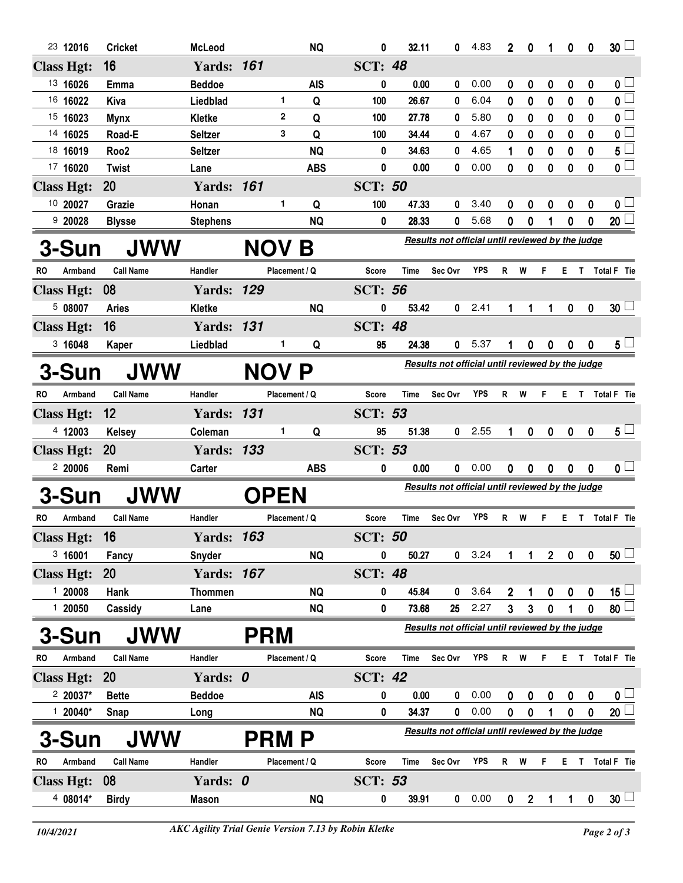| <b>SCT: 48</b><br><b>Class Hgt:</b><br>16<br><b>Yards: 161</b><br>13 16026<br>0<br>0.00<br><b>Beddoe</b><br><b>AIS</b><br>0.00<br>0<br>0<br>0<br>Emma<br>0<br>0<br>$\bf{0}$<br>16 16022<br>1.<br>6.04<br>$\bf{0}$<br>Q<br>100<br>26.67<br>0<br>0<br>0<br>0<br>0<br>Kiva<br>Liedblad<br>15 16023<br>2<br>100<br>27.78<br>5.80<br>0<br>0<br>0<br>0<br>Q<br>0<br>0<br><b>Mynx</b><br>Kletke<br>Q<br>4.67<br>14 16025<br>3<br>0<br>Road-E<br><b>Seltzer</b><br>100<br>34.44<br>0<br>0<br>0<br>0<br>0<br>$5^{\perp}$<br>18 16019<br>4.65<br>Roo <sub>2</sub><br><b>Seltzer</b><br><b>NQ</b><br>34.63<br>0<br>0<br>0<br>0<br>0<br>1<br>0<br>17 16020<br><b>ABS</b><br>0<br>0.00<br>0.00<br>0<br>0<br>0<br>$\bf{0}$<br>0<br><b>Twist</b><br>0<br>Lane<br>20<br><b>Yards: 161</b><br><b>SCT: 50</b><br><b>Class Hgt:</b><br>10 20027<br>1<br>100<br>47.33<br>3.40<br>Grazie<br>Honan<br>Q<br>0<br>0<br>0<br>0<br>0<br>0<br>5.68<br>0<br>9 20028<br><b>NQ</b><br>0<br>28.33<br>0<br>0<br>0<br>0<br><b>Stephens</b><br><b>Blysse</b><br>Results not official until reviewed by the judge<br><b>JWW</b><br>3-Sun<br><b>NOV</b><br>Β<br><b>YPS</b><br><b>Call Name</b><br>Handler<br>Placement / Q<br><b>Score</b><br>Sec Ovr<br>R W<br>F<br>E T Total F Tie<br>RO<br>Armband<br>Time<br><b>Yards: 129</b><br><b>SCT: 56</b><br><b>Class Hgt:</b><br>08<br>508007<br>2.41<br>Kletke<br><b>NQ</b><br>0<br>53.42<br>0<br><b>Aries</b><br>0<br>0<br>1<br>16<br><b>SCT: 48</b><br><b>Yards: 131</b><br><b>Class Hgt:</b><br>3,16048<br>5.37<br>Liedblad<br>95<br>24.38<br>$\mathbf{0}$<br>1.<br>Q<br>0<br>0<br>0<br>0<br>Kaper<br>Results not official until reviewed by the judge<br><b>JWW</b><br>NOV P<br><b>3-Sun</b><br><b>YPS</b><br>Handler<br>RO<br>Armband<br><b>Call Name</b><br>Placement / Q<br>Score<br><b>Time</b><br>Sec Ovr<br>R<br>W<br>T Total F Tie<br>F<br>Е.<br>131<br>SCT:<br>53<br><b>Class Hgt:</b><br>12<br><b>Yards:</b><br>2.55<br>4 12003<br>Coleman<br>1<br>Q<br>95<br>51.38<br>1<br>0<br>$\mathbf{0}$<br>$\boldsymbol{0}$<br>$\mathbf{0}$<br><b>Kelsey</b><br>0<br><b>SCT: 53</b><br>20<br><b>Yards: 133</b><br><b>Class Hgt:</b><br>0.00<br>220006<br><b>ABS</b><br>0.00<br>Remi<br>Carter<br>0<br>0<br>0<br>0<br>0<br>0<br>0<br>Results not official until reviewed by the judge<br><b>JWW</b><br><b>OPEN</b><br><b>3-Sun</b><br>YPS<br>Armband<br><b>Call Name</b><br>Handler<br>Placement / Q<br>Sec Ovr<br>W<br>E T Total F Tie<br>RO<br>Score<br>Time<br>R<br>F<br><b>SCT: 50</b><br>16<br>163<br><b>Class Hgt:</b><br>Yards:<br>0<br>50.27<br>3.24<br>$\overline{2}$<br>3,16001<br><b>NQ</b><br>0<br>$\pmb{0}$<br>0<br>Snyder<br>Fancy<br>1<br><b>SCT: 48</b><br><b>Class Hgt:</b><br><b>20</b><br><b>Yards: 167</b><br>$15\square$<br>120008<br>3.64<br>$\pmb{0}$<br>45.84<br>0<br>$\overline{2}$<br>0<br>$\pmb{0}$<br>Hank<br><b>Thommen</b><br><b>NQ</b><br>0<br>1<br>$\overline{3}$<br>$\pmb{0}$<br>120050<br>Cassidy<br>73.68<br>25<br>2.27<br>3<br>0<br>0<br><b>NQ</b><br>1<br>Lane<br>Results not official until reviewed by the judge<br><b>JWW</b><br><b>PRM</b><br>3-Sun<br><b>Call Name</b><br><b>YPS</b><br>Armband<br>Handler<br>Placement / Q<br><b>Score</b><br>Sec Ovr<br>T Total F Tie<br><b>Time</b><br>$\mathsf{R}$<br>W<br>RO<br>F<br>Е.<br><b>Class Hgt:</b><br>20<br>Yards: 0<br><b>SCT: 42</b><br>$220037*$<br><b>Beddoe</b><br>0.00<br><b>AIS</b><br>0<br>0 <sub>1</sub><br><b>Bette</b><br>0<br>0.00<br>0<br>0<br>0<br>$\boldsymbol{0}$<br>0<br>0.00<br>$120040*$<br><b>NQ</b><br>34.37<br>0<br>0<br>0<br>1<br>$\boldsymbol{0}$<br>0<br>Snap<br>0<br>Long<br>Results not official until reviewed by the judge<br><b>JWW</b><br>3-Sun<br><b>PRM P</b><br><b>YPS</b><br><b>Call Name</b><br>Handler<br>R<br>W<br>Total F Tie<br>RO<br>Armband<br>Placement / Q<br>Score<br><b>Time</b><br>Sec Ovr<br>F<br>E.<br>Τ<br><b>SCT: 53</b><br><b>Class Hgt:</b><br>08<br>Yards: 0<br>4 08014*<br>0.00<br><b>Birdy</b><br><b>Mason</b><br>0<br>39.91<br>$\mathbf{2}$<br>0<br>NQ.<br>0<br>$\mathbf 0$<br>$\mathbf{1}$<br>1 |  | 23 12016 | <b>Cricket</b> | <b>McLeod</b> |  |  | <b>NQ</b> | 0 | 32.11 | 0 | 4.83 | $\overline{2}$ | 0 | 1 | 0 | 0 | 30 <sup>L</sup>         |  |
|---------------------------------------------------------------------------------------------------------------------------------------------------------------------------------------------------------------------------------------------------------------------------------------------------------------------------------------------------------------------------------------------------------------------------------------------------------------------------------------------------------------------------------------------------------------------------------------------------------------------------------------------------------------------------------------------------------------------------------------------------------------------------------------------------------------------------------------------------------------------------------------------------------------------------------------------------------------------------------------------------------------------------------------------------------------------------------------------------------------------------------------------------------------------------------------------------------------------------------------------------------------------------------------------------------------------------------------------------------------------------------------------------------------------------------------------------------------------------------------------------------------------------------------------------------------------------------------------------------------------------------------------------------------------------------------------------------------------------------------------------------------------------------------------------------------------------------------------------------------------------------------------------------------------------------------------------------------------------------------------------------------------------------------------------------------------------------------------------------------------------------------------------------------------------------------------------------------------------------------------------------------------------------------------------------------------------------------------------------------------------------------------------------------------------------------------------------------------------------------------------------------------------------------------------------------------------------------------------------------------------------------------------------------------------------------------------------------------------------------------------------------------------------------------------------------------------------------------------------------------------------------------------------------------------------------------------------------------------------------------------------------------------------------------------------------------------------------------------------------------------------------------------------------------------------------------------------------------------------------------------------------------------------------------------------------------------------------------------------------------------------------------------------------------------------------------------------------------------------------------------------------------------------------------------------------------------------------------------------------------------------------------------------------------------------------------------------------------------------------------------------------------------------------------------------------------------------------------------------------------------------------------------------------------------------------------------------------------------------------------------------------------------------------------------------------|--|----------|----------------|---------------|--|--|-----------|---|-------|---|------|----------------|---|---|---|---|-------------------------|--|
|                                                                                                                                                                                                                                                                                                                                                                                                                                                                                                                                                                                                                                                                                                                                                                                                                                                                                                                                                                                                                                                                                                                                                                                                                                                                                                                                                                                                                                                                                                                                                                                                                                                                                                                                                                                                                                                                                                                                                                                                                                                                                                                                                                                                                                                                                                                                                                                                                                                                                                                                                                                                                                                                                                                                                                                                                                                                                                                                                                                                                                                                                                                                                                                                                                                                                                                                                                                                                                                                                                                                                                                                                                                                                                                                                                                                                                                                                                                                                                                                                                                               |  |          |                |               |  |  |           |   |       |   |      |                |   |   |   |   |                         |  |
|                                                                                                                                                                                                                                                                                                                                                                                                                                                                                                                                                                                                                                                                                                                                                                                                                                                                                                                                                                                                                                                                                                                                                                                                                                                                                                                                                                                                                                                                                                                                                                                                                                                                                                                                                                                                                                                                                                                                                                                                                                                                                                                                                                                                                                                                                                                                                                                                                                                                                                                                                                                                                                                                                                                                                                                                                                                                                                                                                                                                                                                                                                                                                                                                                                                                                                                                                                                                                                                                                                                                                                                                                                                                                                                                                                                                                                                                                                                                                                                                                                                               |  |          |                |               |  |  |           |   |       |   |      |                |   |   |   |   | $\mathbf{0}$ $\square$  |  |
|                                                                                                                                                                                                                                                                                                                                                                                                                                                                                                                                                                                                                                                                                                                                                                                                                                                                                                                                                                                                                                                                                                                                                                                                                                                                                                                                                                                                                                                                                                                                                                                                                                                                                                                                                                                                                                                                                                                                                                                                                                                                                                                                                                                                                                                                                                                                                                                                                                                                                                                                                                                                                                                                                                                                                                                                                                                                                                                                                                                                                                                                                                                                                                                                                                                                                                                                                                                                                                                                                                                                                                                                                                                                                                                                                                                                                                                                                                                                                                                                                                                               |  |          |                |               |  |  |           |   |       |   |      |                |   |   |   |   | $\overline{\mathbf{0}}$ |  |
|                                                                                                                                                                                                                                                                                                                                                                                                                                                                                                                                                                                                                                                                                                                                                                                                                                                                                                                                                                                                                                                                                                                                                                                                                                                                                                                                                                                                                                                                                                                                                                                                                                                                                                                                                                                                                                                                                                                                                                                                                                                                                                                                                                                                                                                                                                                                                                                                                                                                                                                                                                                                                                                                                                                                                                                                                                                                                                                                                                                                                                                                                                                                                                                                                                                                                                                                                                                                                                                                                                                                                                                                                                                                                                                                                                                                                                                                                                                                                                                                                                                               |  |          |                |               |  |  |           |   |       |   |      |                |   |   |   |   | $\overline{0}$          |  |
|                                                                                                                                                                                                                                                                                                                                                                                                                                                                                                                                                                                                                                                                                                                                                                                                                                                                                                                                                                                                                                                                                                                                                                                                                                                                                                                                                                                                                                                                                                                                                                                                                                                                                                                                                                                                                                                                                                                                                                                                                                                                                                                                                                                                                                                                                                                                                                                                                                                                                                                                                                                                                                                                                                                                                                                                                                                                                                                                                                                                                                                                                                                                                                                                                                                                                                                                                                                                                                                                                                                                                                                                                                                                                                                                                                                                                                                                                                                                                                                                                                                               |  |          |                |               |  |  |           |   |       |   |      |                |   |   |   |   | $\overline{0}$          |  |
|                                                                                                                                                                                                                                                                                                                                                                                                                                                                                                                                                                                                                                                                                                                                                                                                                                                                                                                                                                                                                                                                                                                                                                                                                                                                                                                                                                                                                                                                                                                                                                                                                                                                                                                                                                                                                                                                                                                                                                                                                                                                                                                                                                                                                                                                                                                                                                                                                                                                                                                                                                                                                                                                                                                                                                                                                                                                                                                                                                                                                                                                                                                                                                                                                                                                                                                                                                                                                                                                                                                                                                                                                                                                                                                                                                                                                                                                                                                                                                                                                                                               |  |          |                |               |  |  |           |   |       |   |      |                |   |   |   |   |                         |  |
|                                                                                                                                                                                                                                                                                                                                                                                                                                                                                                                                                                                                                                                                                                                                                                                                                                                                                                                                                                                                                                                                                                                                                                                                                                                                                                                                                                                                                                                                                                                                                                                                                                                                                                                                                                                                                                                                                                                                                                                                                                                                                                                                                                                                                                                                                                                                                                                                                                                                                                                                                                                                                                                                                                                                                                                                                                                                                                                                                                                                                                                                                                                                                                                                                                                                                                                                                                                                                                                                                                                                                                                                                                                                                                                                                                                                                                                                                                                                                                                                                                                               |  |          |                |               |  |  |           |   |       |   |      |                |   |   |   |   | $\overline{\mathbf{0}}$ |  |
|                                                                                                                                                                                                                                                                                                                                                                                                                                                                                                                                                                                                                                                                                                                                                                                                                                                                                                                                                                                                                                                                                                                                                                                                                                                                                                                                                                                                                                                                                                                                                                                                                                                                                                                                                                                                                                                                                                                                                                                                                                                                                                                                                                                                                                                                                                                                                                                                                                                                                                                                                                                                                                                                                                                                                                                                                                                                                                                                                                                                                                                                                                                                                                                                                                                                                                                                                                                                                                                                                                                                                                                                                                                                                                                                                                                                                                                                                                                                                                                                                                                               |  |          |                |               |  |  |           |   |       |   |      |                |   |   |   |   |                         |  |
|                                                                                                                                                                                                                                                                                                                                                                                                                                                                                                                                                                                                                                                                                                                                                                                                                                                                                                                                                                                                                                                                                                                                                                                                                                                                                                                                                                                                                                                                                                                                                                                                                                                                                                                                                                                                                                                                                                                                                                                                                                                                                                                                                                                                                                                                                                                                                                                                                                                                                                                                                                                                                                                                                                                                                                                                                                                                                                                                                                                                                                                                                                                                                                                                                                                                                                                                                                                                                                                                                                                                                                                                                                                                                                                                                                                                                                                                                                                                                                                                                                                               |  |          |                |               |  |  |           |   |       |   |      |                |   |   |   |   | $\mathbf{0}$ $\Box$     |  |
|                                                                                                                                                                                                                                                                                                                                                                                                                                                                                                                                                                                                                                                                                                                                                                                                                                                                                                                                                                                                                                                                                                                                                                                                                                                                                                                                                                                                                                                                                                                                                                                                                                                                                                                                                                                                                                                                                                                                                                                                                                                                                                                                                                                                                                                                                                                                                                                                                                                                                                                                                                                                                                                                                                                                                                                                                                                                                                                                                                                                                                                                                                                                                                                                                                                                                                                                                                                                                                                                                                                                                                                                                                                                                                                                                                                                                                                                                                                                                                                                                                                               |  |          |                |               |  |  |           |   |       |   |      |                |   |   |   |   | 20                      |  |
|                                                                                                                                                                                                                                                                                                                                                                                                                                                                                                                                                                                                                                                                                                                                                                                                                                                                                                                                                                                                                                                                                                                                                                                                                                                                                                                                                                                                                                                                                                                                                                                                                                                                                                                                                                                                                                                                                                                                                                                                                                                                                                                                                                                                                                                                                                                                                                                                                                                                                                                                                                                                                                                                                                                                                                                                                                                                                                                                                                                                                                                                                                                                                                                                                                                                                                                                                                                                                                                                                                                                                                                                                                                                                                                                                                                                                                                                                                                                                                                                                                                               |  |          |                |               |  |  |           |   |       |   |      |                |   |   |   |   |                         |  |
|                                                                                                                                                                                                                                                                                                                                                                                                                                                                                                                                                                                                                                                                                                                                                                                                                                                                                                                                                                                                                                                                                                                                                                                                                                                                                                                                                                                                                                                                                                                                                                                                                                                                                                                                                                                                                                                                                                                                                                                                                                                                                                                                                                                                                                                                                                                                                                                                                                                                                                                                                                                                                                                                                                                                                                                                                                                                                                                                                                                                                                                                                                                                                                                                                                                                                                                                                                                                                                                                                                                                                                                                                                                                                                                                                                                                                                                                                                                                                                                                                                                               |  |          |                |               |  |  |           |   |       |   |      |                |   |   |   |   |                         |  |
|                                                                                                                                                                                                                                                                                                                                                                                                                                                                                                                                                                                                                                                                                                                                                                                                                                                                                                                                                                                                                                                                                                                                                                                                                                                                                                                                                                                                                                                                                                                                                                                                                                                                                                                                                                                                                                                                                                                                                                                                                                                                                                                                                                                                                                                                                                                                                                                                                                                                                                                                                                                                                                                                                                                                                                                                                                                                                                                                                                                                                                                                                                                                                                                                                                                                                                                                                                                                                                                                                                                                                                                                                                                                                                                                                                                                                                                                                                                                                                                                                                                               |  |          |                |               |  |  |           |   |       |   |      |                |   |   |   |   |                         |  |
|                                                                                                                                                                                                                                                                                                                                                                                                                                                                                                                                                                                                                                                                                                                                                                                                                                                                                                                                                                                                                                                                                                                                                                                                                                                                                                                                                                                                                                                                                                                                                                                                                                                                                                                                                                                                                                                                                                                                                                                                                                                                                                                                                                                                                                                                                                                                                                                                                                                                                                                                                                                                                                                                                                                                                                                                                                                                                                                                                                                                                                                                                                                                                                                                                                                                                                                                                                                                                                                                                                                                                                                                                                                                                                                                                                                                                                                                                                                                                                                                                                                               |  |          |                |               |  |  |           |   |       |   |      |                |   |   |   |   | 30 <sup>1</sup>         |  |
|                                                                                                                                                                                                                                                                                                                                                                                                                                                                                                                                                                                                                                                                                                                                                                                                                                                                                                                                                                                                                                                                                                                                                                                                                                                                                                                                                                                                                                                                                                                                                                                                                                                                                                                                                                                                                                                                                                                                                                                                                                                                                                                                                                                                                                                                                                                                                                                                                                                                                                                                                                                                                                                                                                                                                                                                                                                                                                                                                                                                                                                                                                                                                                                                                                                                                                                                                                                                                                                                                                                                                                                                                                                                                                                                                                                                                                                                                                                                                                                                                                                               |  |          |                |               |  |  |           |   |       |   |      |                |   |   |   |   |                         |  |
|                                                                                                                                                                                                                                                                                                                                                                                                                                                                                                                                                                                                                                                                                                                                                                                                                                                                                                                                                                                                                                                                                                                                                                                                                                                                                                                                                                                                                                                                                                                                                                                                                                                                                                                                                                                                                                                                                                                                                                                                                                                                                                                                                                                                                                                                                                                                                                                                                                                                                                                                                                                                                                                                                                                                                                                                                                                                                                                                                                                                                                                                                                                                                                                                                                                                                                                                                                                                                                                                                                                                                                                                                                                                                                                                                                                                                                                                                                                                                                                                                                                               |  |          |                |               |  |  |           |   |       |   |      |                |   |   |   |   | $5\perp$                |  |
|                                                                                                                                                                                                                                                                                                                                                                                                                                                                                                                                                                                                                                                                                                                                                                                                                                                                                                                                                                                                                                                                                                                                                                                                                                                                                                                                                                                                                                                                                                                                                                                                                                                                                                                                                                                                                                                                                                                                                                                                                                                                                                                                                                                                                                                                                                                                                                                                                                                                                                                                                                                                                                                                                                                                                                                                                                                                                                                                                                                                                                                                                                                                                                                                                                                                                                                                                                                                                                                                                                                                                                                                                                                                                                                                                                                                                                                                                                                                                                                                                                                               |  |          |                |               |  |  |           |   |       |   |      |                |   |   |   |   |                         |  |
|                                                                                                                                                                                                                                                                                                                                                                                                                                                                                                                                                                                                                                                                                                                                                                                                                                                                                                                                                                                                                                                                                                                                                                                                                                                                                                                                                                                                                                                                                                                                                                                                                                                                                                                                                                                                                                                                                                                                                                                                                                                                                                                                                                                                                                                                                                                                                                                                                                                                                                                                                                                                                                                                                                                                                                                                                                                                                                                                                                                                                                                                                                                                                                                                                                                                                                                                                                                                                                                                                                                                                                                                                                                                                                                                                                                                                                                                                                                                                                                                                                                               |  |          |                |               |  |  |           |   |       |   |      |                |   |   |   |   |                         |  |
|                                                                                                                                                                                                                                                                                                                                                                                                                                                                                                                                                                                                                                                                                                                                                                                                                                                                                                                                                                                                                                                                                                                                                                                                                                                                                                                                                                                                                                                                                                                                                                                                                                                                                                                                                                                                                                                                                                                                                                                                                                                                                                                                                                                                                                                                                                                                                                                                                                                                                                                                                                                                                                                                                                                                                                                                                                                                                                                                                                                                                                                                                                                                                                                                                                                                                                                                                                                                                                                                                                                                                                                                                                                                                                                                                                                                                                                                                                                                                                                                                                                               |  |          |                |               |  |  |           |   |       |   |      |                |   |   |   |   |                         |  |
|                                                                                                                                                                                                                                                                                                                                                                                                                                                                                                                                                                                                                                                                                                                                                                                                                                                                                                                                                                                                                                                                                                                                                                                                                                                                                                                                                                                                                                                                                                                                                                                                                                                                                                                                                                                                                                                                                                                                                                                                                                                                                                                                                                                                                                                                                                                                                                                                                                                                                                                                                                                                                                                                                                                                                                                                                                                                                                                                                                                                                                                                                                                                                                                                                                                                                                                                                                                                                                                                                                                                                                                                                                                                                                                                                                                                                                                                                                                                                                                                                                                               |  |          |                |               |  |  |           |   |       |   |      |                |   |   |   |   | $5^{\square}$           |  |
|                                                                                                                                                                                                                                                                                                                                                                                                                                                                                                                                                                                                                                                                                                                                                                                                                                                                                                                                                                                                                                                                                                                                                                                                                                                                                                                                                                                                                                                                                                                                                                                                                                                                                                                                                                                                                                                                                                                                                                                                                                                                                                                                                                                                                                                                                                                                                                                                                                                                                                                                                                                                                                                                                                                                                                                                                                                                                                                                                                                                                                                                                                                                                                                                                                                                                                                                                                                                                                                                                                                                                                                                                                                                                                                                                                                                                                                                                                                                                                                                                                                               |  |          |                |               |  |  |           |   |       |   |      |                |   |   |   |   |                         |  |
|                                                                                                                                                                                                                                                                                                                                                                                                                                                                                                                                                                                                                                                                                                                                                                                                                                                                                                                                                                                                                                                                                                                                                                                                                                                                                                                                                                                                                                                                                                                                                                                                                                                                                                                                                                                                                                                                                                                                                                                                                                                                                                                                                                                                                                                                                                                                                                                                                                                                                                                                                                                                                                                                                                                                                                                                                                                                                                                                                                                                                                                                                                                                                                                                                                                                                                                                                                                                                                                                                                                                                                                                                                                                                                                                                                                                                                                                                                                                                                                                                                                               |  |          |                |               |  |  |           |   |       |   |      |                |   |   |   |   | 0 <sub>1</sub>          |  |
|                                                                                                                                                                                                                                                                                                                                                                                                                                                                                                                                                                                                                                                                                                                                                                                                                                                                                                                                                                                                                                                                                                                                                                                                                                                                                                                                                                                                                                                                                                                                                                                                                                                                                                                                                                                                                                                                                                                                                                                                                                                                                                                                                                                                                                                                                                                                                                                                                                                                                                                                                                                                                                                                                                                                                                                                                                                                                                                                                                                                                                                                                                                                                                                                                                                                                                                                                                                                                                                                                                                                                                                                                                                                                                                                                                                                                                                                                                                                                                                                                                                               |  |          |                |               |  |  |           |   |       |   |      |                |   |   |   |   |                         |  |
|                                                                                                                                                                                                                                                                                                                                                                                                                                                                                                                                                                                                                                                                                                                                                                                                                                                                                                                                                                                                                                                                                                                                                                                                                                                                                                                                                                                                                                                                                                                                                                                                                                                                                                                                                                                                                                                                                                                                                                                                                                                                                                                                                                                                                                                                                                                                                                                                                                                                                                                                                                                                                                                                                                                                                                                                                                                                                                                                                                                                                                                                                                                                                                                                                                                                                                                                                                                                                                                                                                                                                                                                                                                                                                                                                                                                                                                                                                                                                                                                                                                               |  |          |                |               |  |  |           |   |       |   |      |                |   |   |   |   |                         |  |
|                                                                                                                                                                                                                                                                                                                                                                                                                                                                                                                                                                                                                                                                                                                                                                                                                                                                                                                                                                                                                                                                                                                                                                                                                                                                                                                                                                                                                                                                                                                                                                                                                                                                                                                                                                                                                                                                                                                                                                                                                                                                                                                                                                                                                                                                                                                                                                                                                                                                                                                                                                                                                                                                                                                                                                                                                                                                                                                                                                                                                                                                                                                                                                                                                                                                                                                                                                                                                                                                                                                                                                                                                                                                                                                                                                                                                                                                                                                                                                                                                                                               |  |          |                |               |  |  |           |   |       |   |      |                |   |   |   |   |                         |  |
|                                                                                                                                                                                                                                                                                                                                                                                                                                                                                                                                                                                                                                                                                                                                                                                                                                                                                                                                                                                                                                                                                                                                                                                                                                                                                                                                                                                                                                                                                                                                                                                                                                                                                                                                                                                                                                                                                                                                                                                                                                                                                                                                                                                                                                                                                                                                                                                                                                                                                                                                                                                                                                                                                                                                                                                                                                                                                                                                                                                                                                                                                                                                                                                                                                                                                                                                                                                                                                                                                                                                                                                                                                                                                                                                                                                                                                                                                                                                                                                                                                                               |  |          |                |               |  |  |           |   |       |   |      |                |   |   |   |   | $50 \Box$               |  |
|                                                                                                                                                                                                                                                                                                                                                                                                                                                                                                                                                                                                                                                                                                                                                                                                                                                                                                                                                                                                                                                                                                                                                                                                                                                                                                                                                                                                                                                                                                                                                                                                                                                                                                                                                                                                                                                                                                                                                                                                                                                                                                                                                                                                                                                                                                                                                                                                                                                                                                                                                                                                                                                                                                                                                                                                                                                                                                                                                                                                                                                                                                                                                                                                                                                                                                                                                                                                                                                                                                                                                                                                                                                                                                                                                                                                                                                                                                                                                                                                                                                               |  |          |                |               |  |  |           |   |       |   |      |                |   |   |   |   |                         |  |
|                                                                                                                                                                                                                                                                                                                                                                                                                                                                                                                                                                                                                                                                                                                                                                                                                                                                                                                                                                                                                                                                                                                                                                                                                                                                                                                                                                                                                                                                                                                                                                                                                                                                                                                                                                                                                                                                                                                                                                                                                                                                                                                                                                                                                                                                                                                                                                                                                                                                                                                                                                                                                                                                                                                                                                                                                                                                                                                                                                                                                                                                                                                                                                                                                                                                                                                                                                                                                                                                                                                                                                                                                                                                                                                                                                                                                                                                                                                                                                                                                                                               |  |          |                |               |  |  |           |   |       |   |      |                |   |   |   |   |                         |  |
|                                                                                                                                                                                                                                                                                                                                                                                                                                                                                                                                                                                                                                                                                                                                                                                                                                                                                                                                                                                                                                                                                                                                                                                                                                                                                                                                                                                                                                                                                                                                                                                                                                                                                                                                                                                                                                                                                                                                                                                                                                                                                                                                                                                                                                                                                                                                                                                                                                                                                                                                                                                                                                                                                                                                                                                                                                                                                                                                                                                                                                                                                                                                                                                                                                                                                                                                                                                                                                                                                                                                                                                                                                                                                                                                                                                                                                                                                                                                                                                                                                                               |  |          |                |               |  |  |           |   |       |   |      |                |   |   |   |   | 80                      |  |
|                                                                                                                                                                                                                                                                                                                                                                                                                                                                                                                                                                                                                                                                                                                                                                                                                                                                                                                                                                                                                                                                                                                                                                                                                                                                                                                                                                                                                                                                                                                                                                                                                                                                                                                                                                                                                                                                                                                                                                                                                                                                                                                                                                                                                                                                                                                                                                                                                                                                                                                                                                                                                                                                                                                                                                                                                                                                                                                                                                                                                                                                                                                                                                                                                                                                                                                                                                                                                                                                                                                                                                                                                                                                                                                                                                                                                                                                                                                                                                                                                                                               |  |          |                |               |  |  |           |   |       |   |      |                |   |   |   |   |                         |  |
|                                                                                                                                                                                                                                                                                                                                                                                                                                                                                                                                                                                                                                                                                                                                                                                                                                                                                                                                                                                                                                                                                                                                                                                                                                                                                                                                                                                                                                                                                                                                                                                                                                                                                                                                                                                                                                                                                                                                                                                                                                                                                                                                                                                                                                                                                                                                                                                                                                                                                                                                                                                                                                                                                                                                                                                                                                                                                                                                                                                                                                                                                                                                                                                                                                                                                                                                                                                                                                                                                                                                                                                                                                                                                                                                                                                                                                                                                                                                                                                                                                                               |  |          |                |               |  |  |           |   |       |   |      |                |   |   |   |   |                         |  |
|                                                                                                                                                                                                                                                                                                                                                                                                                                                                                                                                                                                                                                                                                                                                                                                                                                                                                                                                                                                                                                                                                                                                                                                                                                                                                                                                                                                                                                                                                                                                                                                                                                                                                                                                                                                                                                                                                                                                                                                                                                                                                                                                                                                                                                                                                                                                                                                                                                                                                                                                                                                                                                                                                                                                                                                                                                                                                                                                                                                                                                                                                                                                                                                                                                                                                                                                                                                                                                                                                                                                                                                                                                                                                                                                                                                                                                                                                                                                                                                                                                                               |  |          |                |               |  |  |           |   |       |   |      |                |   |   |   |   |                         |  |
|                                                                                                                                                                                                                                                                                                                                                                                                                                                                                                                                                                                                                                                                                                                                                                                                                                                                                                                                                                                                                                                                                                                                                                                                                                                                                                                                                                                                                                                                                                                                                                                                                                                                                                                                                                                                                                                                                                                                                                                                                                                                                                                                                                                                                                                                                                                                                                                                                                                                                                                                                                                                                                                                                                                                                                                                                                                                                                                                                                                                                                                                                                                                                                                                                                                                                                                                                                                                                                                                                                                                                                                                                                                                                                                                                                                                                                                                                                                                                                                                                                                               |  |          |                |               |  |  |           |   |       |   |      |                |   |   |   |   |                         |  |
|                                                                                                                                                                                                                                                                                                                                                                                                                                                                                                                                                                                                                                                                                                                                                                                                                                                                                                                                                                                                                                                                                                                                                                                                                                                                                                                                                                                                                                                                                                                                                                                                                                                                                                                                                                                                                                                                                                                                                                                                                                                                                                                                                                                                                                                                                                                                                                                                                                                                                                                                                                                                                                                                                                                                                                                                                                                                                                                                                                                                                                                                                                                                                                                                                                                                                                                                                                                                                                                                                                                                                                                                                                                                                                                                                                                                                                                                                                                                                                                                                                                               |  |          |                |               |  |  |           |   |       |   |      |                |   |   |   |   | $20$ $\Box$             |  |
|                                                                                                                                                                                                                                                                                                                                                                                                                                                                                                                                                                                                                                                                                                                                                                                                                                                                                                                                                                                                                                                                                                                                                                                                                                                                                                                                                                                                                                                                                                                                                                                                                                                                                                                                                                                                                                                                                                                                                                                                                                                                                                                                                                                                                                                                                                                                                                                                                                                                                                                                                                                                                                                                                                                                                                                                                                                                                                                                                                                                                                                                                                                                                                                                                                                                                                                                                                                                                                                                                                                                                                                                                                                                                                                                                                                                                                                                                                                                                                                                                                                               |  |          |                |               |  |  |           |   |       |   |      |                |   |   |   |   |                         |  |
|                                                                                                                                                                                                                                                                                                                                                                                                                                                                                                                                                                                                                                                                                                                                                                                                                                                                                                                                                                                                                                                                                                                                                                                                                                                                                                                                                                                                                                                                                                                                                                                                                                                                                                                                                                                                                                                                                                                                                                                                                                                                                                                                                                                                                                                                                                                                                                                                                                                                                                                                                                                                                                                                                                                                                                                                                                                                                                                                                                                                                                                                                                                                                                                                                                                                                                                                                                                                                                                                                                                                                                                                                                                                                                                                                                                                                                                                                                                                                                                                                                                               |  |          |                |               |  |  |           |   |       |   |      |                |   |   |   |   |                         |  |
|                                                                                                                                                                                                                                                                                                                                                                                                                                                                                                                                                                                                                                                                                                                                                                                                                                                                                                                                                                                                                                                                                                                                                                                                                                                                                                                                                                                                                                                                                                                                                                                                                                                                                                                                                                                                                                                                                                                                                                                                                                                                                                                                                                                                                                                                                                                                                                                                                                                                                                                                                                                                                                                                                                                                                                                                                                                                                                                                                                                                                                                                                                                                                                                                                                                                                                                                                                                                                                                                                                                                                                                                                                                                                                                                                                                                                                                                                                                                                                                                                                                               |  |          |                |               |  |  |           |   |       |   |      |                |   |   |   |   |                         |  |
|                                                                                                                                                                                                                                                                                                                                                                                                                                                                                                                                                                                                                                                                                                                                                                                                                                                                                                                                                                                                                                                                                                                                                                                                                                                                                                                                                                                                                                                                                                                                                                                                                                                                                                                                                                                                                                                                                                                                                                                                                                                                                                                                                                                                                                                                                                                                                                                                                                                                                                                                                                                                                                                                                                                                                                                                                                                                                                                                                                                                                                                                                                                                                                                                                                                                                                                                                                                                                                                                                                                                                                                                                                                                                                                                                                                                                                                                                                                                                                                                                                                               |  |          |                |               |  |  |           |   |       |   |      |                |   |   |   |   | 30 <sup>1</sup>         |  |